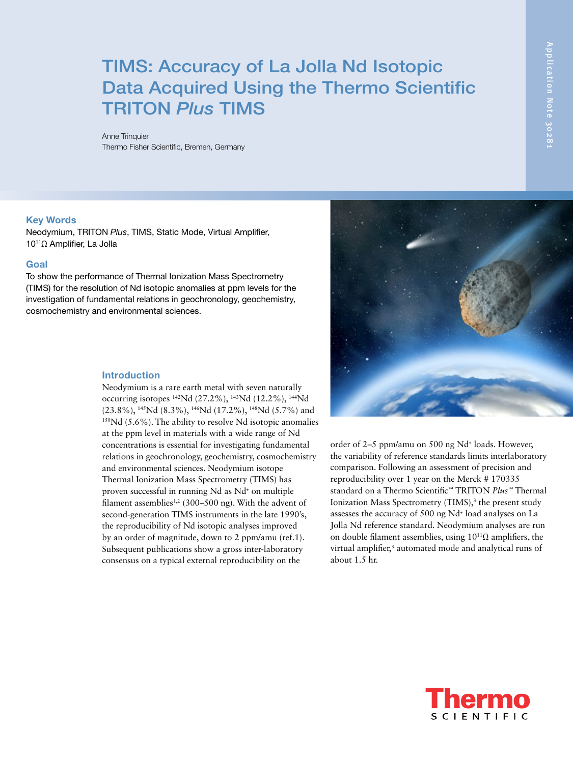# TIMS: Accuracy of La Jolla Nd Isotopic Data Acquired Using the Thermo Scientific TRITON *Plus* TIMS

Anne Trinquier Thermo Fisher Scientific, Bremen, Germany

#### Key Words

Neodymium, TRITON *Plus*, TIMS, Static Mode, Virtual Amplifier, 1011Ω Amplifier, La Jolla

# **Goal**

To show the performance of Thermal Ionization Mass Spectrometry (TIMS) for the resolution of Nd isotopic anomalies at ppm levels for the investigation of fundamental relations in geochronology, geochemistry, cosmochemistry and environmental sciences.

#### Introduction

Neodymium is a rare earth metal with seven naturally occurring isotopes 142Nd (27.2%), 143Nd (12.2%), 144Nd (23.8%), 145Nd (8.3%), 146Nd (17.2%), 148Nd (5.7%) and <sup>150</sup>Nd (5.6%). The ability to resolve Nd isotopic anomalies at the ppm level in materials with a wide range of Nd concentrations is essential for investigating fundamental relations in geochronology, geochemistry, cosmochemistry and environmental sciences. Neodymium isotope Thermal Ionization Mass Spectrometry (TIMS) has proven successful in running Nd as Nd+ on multiple filament assemblies<sup>1,2</sup> (300–500 ng). With the advent of second-generation TIMS instruments in the late 1990's, the reproducibility of Nd isotopic analyses improved by an order of magnitude, down to 2 ppm/amu (ref.1). Subsequent publications show a gross inter-laboratory consensus on a typical external reproducibility on the



order of 2–5 ppm/amu on 500 ng Nd+ loads. However, the variability of reference standards limits interlaboratory comparison. Following an assessment of precision and reproducibility over 1 year on the Merck # 170335 standard on a Thermo Scientific™ TRITON *Plus*™ Thermal Ionization Mass Spectrometry (TIMS),<sup>3</sup> the present study assesses the accuracy of 500 ng Nd+ load analyses on La Jolla Nd reference standard. Neodymium analyses are run on double filament assemblies, using  $10^{11}\Omega$  amplifiers, the virtual amplifier,<sup>3</sup> automated mode and analytical runs of about 1.5 hr.

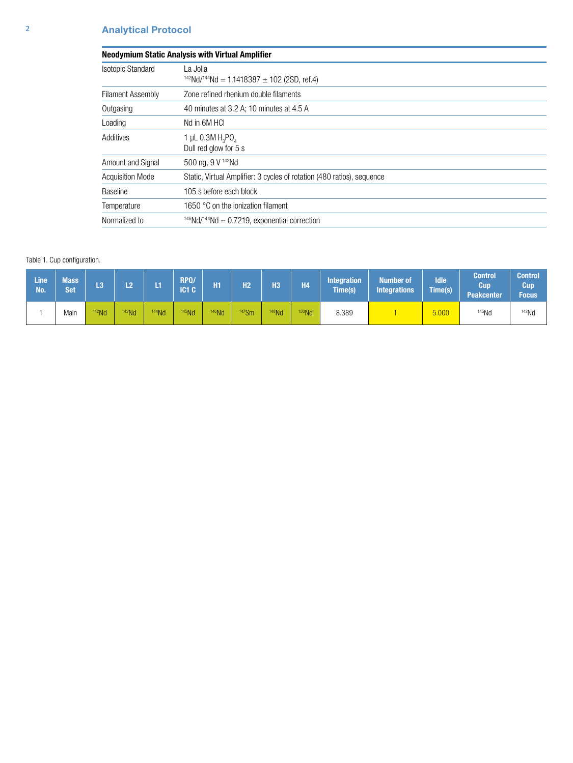| <b>Neodymium Static Analysis with Virtual Amplifier</b> |                                                                        |  |  |  |  |  |  |  |  |
|---------------------------------------------------------|------------------------------------------------------------------------|--|--|--|--|--|--|--|--|
| <b>Isotopic Standard</b>                                | La Jolla<br>$142Nd/144Nd = 1.1418387 \pm 102$ (2SD, ref.4)             |  |  |  |  |  |  |  |  |
| <b>Filament Assembly</b>                                | Zone refined rhenium double filaments                                  |  |  |  |  |  |  |  |  |
| Outgasing                                               | 40 minutes at 3.2 A; 10 minutes at 4.5 A                               |  |  |  |  |  |  |  |  |
| Loading                                                 | Nd in 6M HCI                                                           |  |  |  |  |  |  |  |  |
| Additives                                               | 1 µL $0.3M H_3PO_{4}$<br>Dull red glow for 5 s                         |  |  |  |  |  |  |  |  |
| Amount and Signal                                       | 500 ng, 9 V 142Nd                                                      |  |  |  |  |  |  |  |  |
| <b>Acquisition Mode</b>                                 | Static, Virtual Amplifier: 3 cycles of rotation (480 ratios), sequence |  |  |  |  |  |  |  |  |
| <b>Baseline</b>                                         | 105 s before each block                                                |  |  |  |  |  |  |  |  |
| Temperature                                             | 1650 °C on the ionization filament                                     |  |  |  |  |  |  |  |  |
| Normalized to                                           | $146Nd/144Nd = 0.7219$ , exponential correction                        |  |  |  |  |  |  |  |  |

## Table 1. Cup configuration.

| Line<br>No. | <b>Mass</b><br><b>Set</b> | L3       | <b>CO</b> |       | RPQ/<br>IC <sub>1</sub> C | H <sub>1</sub> | H <sub>2</sub> | <b>H3</b>         | <b>H4</b>         | <b>Integration</b><br><b>Time(s)</b> | <b>Number of</b><br><b>Integrations</b> | <b>Idle</b><br>Time(s) | Control<br>Cup<br><b>Peakcenter</b> | <b>Control</b><br>Cup<br><b>Focus</b> |
|-------------|---------------------------|----------|-----------|-------|---------------------------|----------------|----------------|-------------------|-------------------|--------------------------------------|-----------------------------------------|------------------------|-------------------------------------|---------------------------------------|
|             | Main                      | $142$ Nd | $143$ Nd  | 144Nd | $145$ Nd                  | $146$ Nd       | $147$ Sm       | <sup>148</sup> Nd | <sup>150</sup> Nd | 8.389                                |                                         | 5.000                  | $145$ Nd                            | $142$ Nd                              |